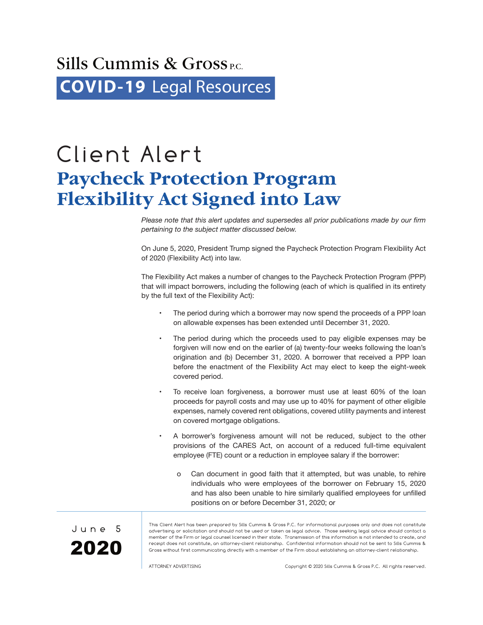## Sills Cummis  $\&$  Gross<sub>P.C.</sub> **COVID-19** [Legal Resources](http://www.sillscummis.com/practices/covid-19-legal-resources.aspx)

## Client Alert **Paycheck Protection Program Flexibility Act Signed into Law**

*Please note that this alert updates and supersedes all prior publications made by our firm pertaining to the subject matter discussed below.*

On June 5, 2020, President Trump signed the Paycheck Protection Program Flexibility Act of 2020 (Flexibility Act) into law.

The Flexibility Act makes a number of changes to the Paycheck Protection Program (PPP) that will impact borrowers, including the following (each of which is qualified in its entirety by the full text of the Flexibility Act):

- The period during which a borrower may now spend the proceeds of a PPP loan on allowable expenses has been extended until December 31, 2020.
- The period during which the proceeds used to pay eligible expenses may be forgiven will now end on the earlier of (a) twenty-four weeks following the loan's origination and (b) December 31, 2020. A borrower that received a PPP loan before the enactment of the Flexibility Act may elect to keep the eight-week covered period.
- To receive loan forgiveness, a borrower must use at least 60% of the loan proceeds for payroll costs and may use up to 40% for payment of other eligible expenses, namely covered rent obligations, covered utility payments and interest on covered mortgage obligations.
- A borrower's forgiveness amount will not be reduced, subject to the other provisions of the CARES Act, on account of a reduced full-time equivalent employee (FTE) count or a reduction in employee salary if the borrower:
	- o Can document in good faith that it attempted, but was unable, to rehire individuals who were employees of the borrower on February 15, 2020 and has also been unable to hire similarly qualified employees for unfilled positions on or before December 31, 2020; or



This Client Alert has been prepared by Sills Cummis & Gross P.C. for informational purposes only and does not constitute advertising or solicitation and should not be used or taken as legal advice. Those seeking legal advice should contact a member of the Firm or legal counsel licensed in their state. Transmission of this information is not intended to create, and receipt does not constitute, an attorney-client relationship. Confidential information should not be sent to Sills Cummis & Gross without first communicating directly with a member of the Firm about establishing an attorney-client relationship.

ATTORNEY ADVERTISING Copyright © 2020 Sills Cummis & Gross P.C. All rights reserved.